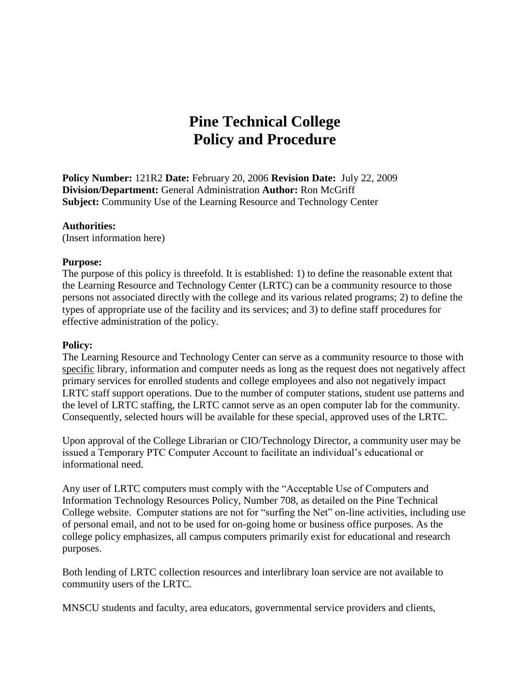# **Pine Technical College Policy and Procedure**

**Policy Number:** 121R2 **Date:** February 20, 2006 **Revision Date:** July 22, 2009 **Division/Department:** General Administration **Author:** Ron McGriff **Subject:** Community Use of the Learning Resource and Technology Center

#### **Authorities:**

(Insert information here)

#### **Purpose:**

The purpose of this policy is threefold. It is established: 1) to define the reasonable extent that the Learning Resource and Technology Center (LRTC) can be a community resource to those persons not associated directly with the college and its various related programs; 2) to define the types of appropriate use of the facility and its services; and 3) to define staff procedures for effective administration of the policy.

#### **Policy:**

The Learning Resource and Technology Center can serve as a community resource to those with specific library, information and computer needs as long as the request does not negatively affect primary services for enrolled students and college employees and also not negatively impact LRTC staff support operations. Due to the number of computer stations, student use patterns and the level of LRTC staffing, the LRTC cannot serve as an open computer lab for the community. Consequently, selected hours will be available for these special, approved uses of the LRTC.

Upon approval of the College Librarian or CIO/Technology Director, a community user may be issued a Temporary PTC Computer Account to facilitate an individual's educational or informational need.

Any user of LRTC computers must comply with the "Acceptable Use of Computers and Information Technology Resources Policy, Number 708, as detailed on the Pine Technical College website. Computer stations are not for "surfing the Net" on-line activities, including use of personal email, and not to be used for on-going home or business office purposes. As the college policy emphasizes, all campus computers primarily exist for educational and research purposes.

Both lending of LRTC collection resources and interlibrary loan service are not available to community users of the LRTC.

MNSCU students and faculty, area educators, governmental service providers and clients,